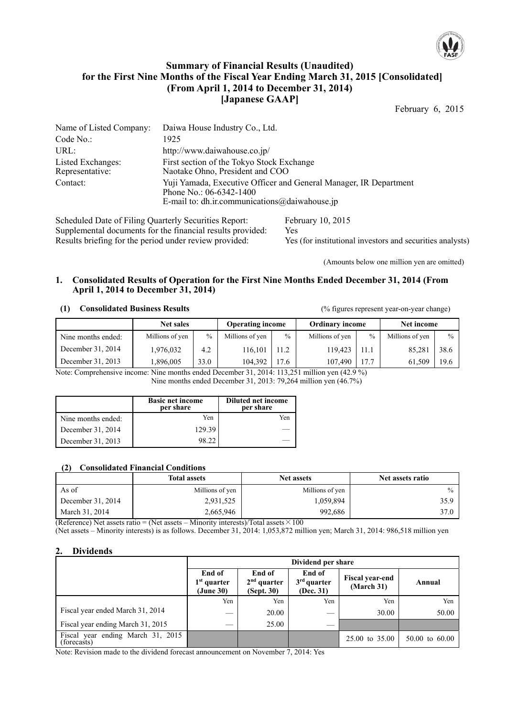

### **Summary of Financial Results (Unaudited) for the First Nine Months of the Fiscal Year Ending March 31, 2015 [Consolidated] (From April 1, 2014 to December 31, 2014) [Japanese GAAP]**

February 6, 2015

| Name of Listed Company:              | Daiwa House Industry Co., Ltd.                                                                                                                  |
|--------------------------------------|-------------------------------------------------------------------------------------------------------------------------------------------------|
| Code No.                             | 1925                                                                                                                                            |
| URL:                                 | http://www.daiwahouse.co.jp/                                                                                                                    |
| Listed Exchanges:<br>Representative: | First section of the Tokyo Stock Exchange<br>Naotake Ohno, President and COO                                                                    |
| Contact:                             | Yuji Yamada, Executive Officer and General Manager, IR Department<br>Phone No.: $06-6342-1400$<br>E-mail to: dh.ir.communications@daiwahouse.jp |
|                                      |                                                                                                                                                 |

Scheduled Date of Filing Quarterly Securities Report: February 10, 2015 Supplemental documents for the financial results provided: Yes Results briefing for the period under review provided: Yes (for institutional investors and securities analysts)

(Amounts below one million yen are omitted)

#### **1. Consolidated Results of Operation for the First Nine Months Ended December 31, 2014 (From April 1, 2014 to December 31, 2014)**

### **(1) Consolidated Business Results** (% figures represent year-on-year change)

|                    | <b>Net sales</b> |               | <b>Operating income</b> |               | <b>Ordinary income</b> |               | Net income      |               |
|--------------------|------------------|---------------|-------------------------|---------------|------------------------|---------------|-----------------|---------------|
| Nine months ended: | Millions of yen  | $\frac{0}{0}$ | Millions of yen         | $\frac{0}{0}$ | Millions of yen        | $\frac{0}{0}$ | Millions of yen | $\frac{0}{0}$ |
| December 31, 2014  | 1,976,032        | 4.2           | 116.101                 | 11.2          | 119.423                | 11.1          | 85,281          | 38.6          |
| December 31, 2013  | 1,896,005        | 33.0          | 104.392                 | 17.6          | 107.490                | 17.7          | 61.509          | 19.6          |

Note: Comprehensive income: Nine months ended December 31, 2014: 113,251 million yen (42.9 %) Nine months ended December 31, 2013: 79,264 million yen (46.7%)

|                    | <b>Basic net income</b><br>per share | <b>Diluted net income</b><br>per share |
|--------------------|--------------------------------------|----------------------------------------|
| Nine months ended: | Yen                                  | Yen                                    |
| December 31, 2014  | 129.39                               |                                        |
| December 31, 2013  | 98.22                                |                                        |

### **(2) Consolidated Financial Conditions**

|                   | <b>Total assets</b> | <b>Net assets</b> | Net assets ratio |
|-------------------|---------------------|-------------------|------------------|
| As of             | Millions of yen     | Millions of yen   | $\frac{0}{2}$    |
| December 31, 2014 | 2,931,525           | 1.059.894         | 35.9             |
| March 31, 2014    | 2,665,946           | 992,686           | 37.0             |

(Reference) Net assets ratio = (Net assets – Minority interests)/Total assets  $\times 100$ 

(Net assets – Minority interests) is as follows. December 31, 2014: 1,053,872 million yen; March 31, 2014: 986,518 million yen

### **2. Dividends**

|                                                  | Dividend per share                   |                                       |                                      |                                      |                           |  |  |
|--------------------------------------------------|--------------------------------------|---------------------------------------|--------------------------------------|--------------------------------------|---------------------------|--|--|
|                                                  | End of<br>$1st$ quarter<br>(June 30) | End of<br>$2nd$ quarter<br>(Sept. 30) | End of<br>$3rd$ quarter<br>(Dec. 31) | <b>Fiscal year-end</b><br>(March 31) | Annual                    |  |  |
|                                                  | Yen                                  | Yen                                   | Yen                                  | Yen                                  | Yen                       |  |  |
| Fiscal year ended March 31, 2014                 |                                      | 20.00                                 |                                      | 30.00                                | 50.00                     |  |  |
| Fiscal year ending March 31, 2015                |                                      | 25.00                                 |                                      |                                      |                           |  |  |
| Fiscal year ending March 31, 2015<br>(forecasts) |                                      |                                       |                                      | 25.00 to 35.00                       | $50.00 \text{ to } 60.00$ |  |  |

Note: Revision made to the dividend forecast announcement on November 7, 2014: Yes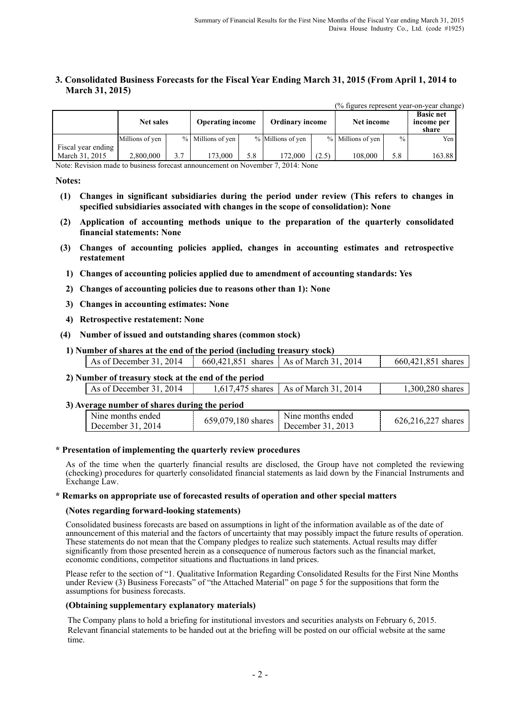#### **3. Consolidated Business Forecasts for the Fiscal Year Ending March 31, 2015 (From April 1, 2014 to March 31, 2015)**

|                                      | <b>Net sales</b> |     | <b>Operating income</b> |     | <b>Ordinary income</b> |       | Net income        |               | <b>Basic net</b><br>income per<br>share |
|--------------------------------------|------------------|-----|-------------------------|-----|------------------------|-------|-------------------|---------------|-----------------------------------------|
|                                      | Millions of yen  |     | % Millions of yen       |     | % Millions of yen      |       | % Millions of yen | $\frac{0}{0}$ | Yen                                     |
| Fiscal year ending<br>March 31, 2015 | 2.800,000        | 3.7 | 173.000                 | 5.8 | 172.000                | (2.5) | 108,000           | 5.8           | 163.88                                  |

(% figures represent year-on-year change)

Note: Revision made to business forecast announcement on November 7, 2014: None

#### **Notes:**

- **(1) Changes in significant subsidiaries during the period under review (This refers to changes in specified subsidiaries associated with changes in the scope of consolidation): None**
- **(2) Application of accounting methods unique to the preparation of the quarterly consolidated financial statements: None**
- **(3) Changes of accounting policies applied, changes in accounting estimates and retrospective restatement** 
	- **1) Changes of accounting policies applied due to amendment of accounting standards: Yes**
	- **2) Changes of accounting policies due to reasons other than 1): None**
	- **3) Changes in accounting estimates: None**
- **4) Retrospective restatement: None**
- **(4) Number of issued and outstanding shares (common stock)** 
	- **1) Number of shares at the end of the period (including treasury stock)**

| 2014<br>As of December 31. | 660.421.851 | 2014<br>shares   As of March 31. | 660,421,851 shares |
|----------------------------|-------------|----------------------------------|--------------------|
|                            |             |                                  |                    |

# **2) Number of treasury stock at the end of the period**

| As of December 31, 2014                       | 1,617,475 shares   As of March 31, 2014 | 1,300,280 shares |
|-----------------------------------------------|-----------------------------------------|------------------|
| 3) Average number of shares during the period |                                         |                  |

| $\alpha$ and $\alpha$ and $\alpha$ are the state of $\alpha$ and $\alpha$ and $\alpha$ |                    |                   |                    |
|----------------------------------------------------------------------------------------|--------------------|-------------------|--------------------|
| Nine months ended                                                                      | 659,079,180 shares | Nine months ended | 626,216,227 shares |
| December 31. 2014                                                                      |                    | December 31, 2013 |                    |

#### **\* Presentation of implementing the quarterly review procedures**

As of the time when the quarterly financial results are disclosed, the Group have not completed the reviewing (checking) procedures for quarterly consolidated financial statements as laid down by the Financial Instruments and Exchange Law.

#### **\* Remarks on appropriate use of forecasted results of operation and other special matters**

#### **(Notes regarding forward-looking statements)**

Consolidated business forecasts are based on assumptions in light of the information available as of the date of announcement of this material and the factors of uncertainty that may possibly impact the future results of operation. These statements do not mean that the Company pledges to realize such statements. Actual results may differ significantly from those presented herein as a consequence of numerous factors such as the financial market, economic conditions, competitor situations and fluctuations in land prices.

Please refer to the section of "1. Qualitative Information Regarding Consolidated Results for the First Nine Months under Review (3) Business Forecasts" of "the Attached Material" on page 5 for the suppositions that form the assumptions for business forecasts.

#### **(Obtaining supplementary explanatory materials)**

The Company plans to hold a briefing for institutional investors and securities analysts on February 6, 2015. Relevant financial statements to be handed out at the briefing will be posted on our official website at the same time.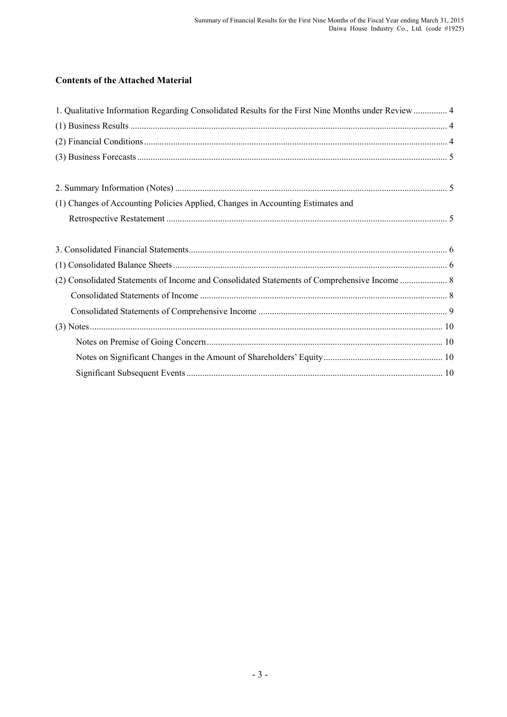## **Contents of the Attached Material**

| 1. Qualitative Information Regarding Consolidated Results for the First Nine Months under Review  4 |  |
|-----------------------------------------------------------------------------------------------------|--|
|                                                                                                     |  |
|                                                                                                     |  |
|                                                                                                     |  |
|                                                                                                     |  |
| (1) Changes of Accounting Policies Applied, Changes in Accounting Estimates and                     |  |
|                                                                                                     |  |
|                                                                                                     |  |
|                                                                                                     |  |
|                                                                                                     |  |
|                                                                                                     |  |
|                                                                                                     |  |
|                                                                                                     |  |
|                                                                                                     |  |
|                                                                                                     |  |
|                                                                                                     |  |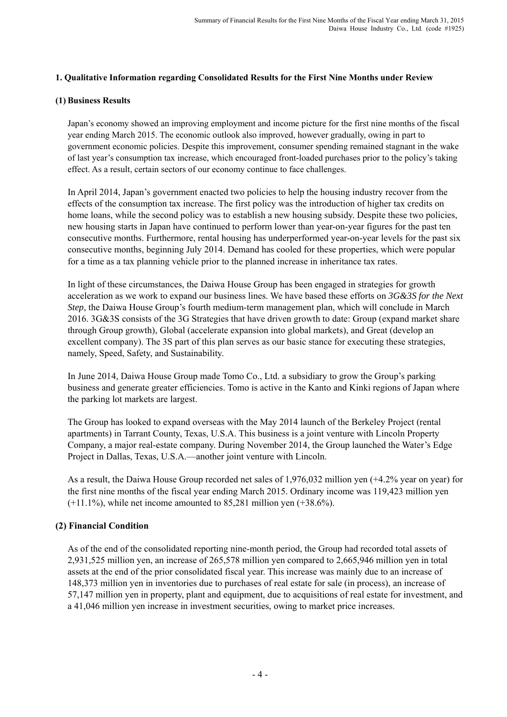### **1. Qualitative Information regarding Consolidated Results for the First Nine Months under Review**

### **(1) Business Results**

Japan's economy showed an improving employment and income picture for the first nine months of the fiscal year ending March 2015. The economic outlook also improved, however gradually, owing in part to government economic policies. Despite this improvement, consumer spending remained stagnant in the wake of last year's consumption tax increase, which encouraged front-loaded purchases prior to the policy's taking effect. As a result, certain sectors of our economy continue to face challenges.

In April 2014, Japan's government enacted two policies to help the housing industry recover from the effects of the consumption tax increase. The first policy was the introduction of higher tax credits on home loans, while the second policy was to establish a new housing subsidy. Despite these two policies, new housing starts in Japan have continued to perform lower than year-on-year figures for the past ten consecutive months. Furthermore, rental housing has underperformed year-on-year levels for the past six consecutive months, beginning July 2014. Demand has cooled for these properties, which were popular for a time as a tax planning vehicle prior to the planned increase in inheritance tax rates.

In light of these circumstances, the Daiwa House Group has been engaged in strategies for growth acceleration as we work to expand our business lines. We have based these efforts on *3G&3S for the Next Step*, the Daiwa House Group's fourth medium-term management plan, which will conclude in March 2016. 3G&3S consists of the 3G Strategies that have driven growth to date: Group (expand market share through Group growth), Global (accelerate expansion into global markets), and Great (develop an excellent company). The 3S part of this plan serves as our basic stance for executing these strategies, namely, Speed, Safety, and Sustainability.

In June 2014, Daiwa House Group made Tomo Co., Ltd. a subsidiary to grow the Group's parking business and generate greater efficiencies. Tomo is active in the Kanto and Kinki regions of Japan where the parking lot markets are largest.

The Group has looked to expand overseas with the May 2014 launch of the Berkeley Project (rental apartments) in Tarrant County, Texas, U.S.A. This business is a joint venture with Lincoln Property Company, a major real-estate company. During November 2014, the Group launched the Water's Edge Project in Dallas, Texas, U.S.A.—another joint venture with Lincoln.

As a result, the Daiwa House Group recorded net sales of 1,976,032 million yen (+4.2% year on year) for the first nine months of the fiscal year ending March 2015. Ordinary income was 119,423 million yen  $(+11.1\%)$ , while net income amounted to 85,281 million yen  $(+38.6\%)$ .

### **(2) Financial Condition**

As of the end of the consolidated reporting nine-month period, the Group had recorded total assets of 2,931,525 million yen, an increase of 265,578 million yen compared to 2,665,946 million yen in total assets at the end of the prior consolidated fiscal year. This increase was mainly due to an increase of 148,373 million yen in inventories due to purchases of real estate for sale (in process), an increase of 57,147 million yen in property, plant and equipment, due to acquisitions of real estate for investment, and a 41,046 million yen increase in investment securities, owing to market price increases.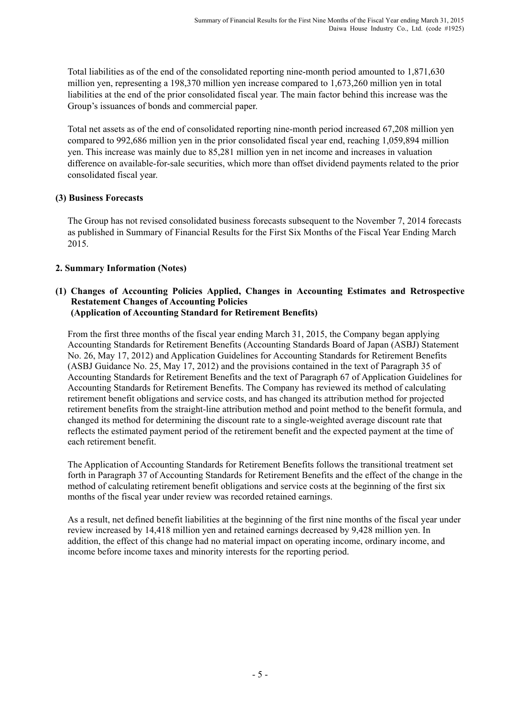Total liabilities as of the end of the consolidated reporting nine-month period amounted to 1,871,630 million yen, representing a 198,370 million yen increase compared to 1,673,260 million yen in total liabilities at the end of the prior consolidated fiscal year. The main factor behind this increase was the Group's issuances of bonds and commercial paper.

Total net assets as of the end of consolidated reporting nine-month period increased 67,208 million yen compared to 992,686 million yen in the prior consolidated fiscal year end, reaching 1,059,894 million yen. This increase was mainly due to 85,281 million yen in net income and increases in valuation difference on available-for-sale securities, which more than offset dividend payments related to the prior consolidated fiscal year.

### **(3) Business Forecasts**

The Group has not revised consolidated business forecasts subsequent to the November 7, 2014 forecasts as published in Summary of Financial Results for the First Six Months of the Fiscal Year Ending March 2015.

### **2. Summary Information (Notes)**

#### **(1) Changes of Accounting Policies Applied, Changes in Accounting Estimates and Retrospective Restatement Changes of Accounting Policies (Application of Accounting Standard for Retirement Benefits)**

From the first three months of the fiscal year ending March 31, 2015, the Company began applying Accounting Standards for Retirement Benefits (Accounting Standards Board of Japan (ASBJ) Statement No. 26, May 17, 2012) and Application Guidelines for Accounting Standards for Retirement Benefits (ASBJ Guidance No. 25, May 17, 2012) and the provisions contained in the text of Paragraph 35 of Accounting Standards for Retirement Benefits and the text of Paragraph 67 of Application Guidelines for Accounting Standards for Retirement Benefits. The Company has reviewed its method of calculating retirement benefit obligations and service costs, and has changed its attribution method for projected retirement benefits from the straight-line attribution method and point method to the benefit formula, and changed its method for determining the discount rate to a single-weighted average discount rate that reflects the estimated payment period of the retirement benefit and the expected payment at the time of each retirement benefit.

The Application of Accounting Standards for Retirement Benefits follows the transitional treatment set forth in Paragraph 37 of Accounting Standards for Retirement Benefits and the effect of the change in the method of calculating retirement benefit obligations and service costs at the beginning of the first six months of the fiscal year under review was recorded retained earnings.

As a result, net defined benefit liabilities at the beginning of the first nine months of the fiscal year under review increased by 14,418 million yen and retained earnings decreased by 9,428 million yen. In addition, the effect of this change had no material impact on operating income, ordinary income, and income before income taxes and minority interests for the reporting period.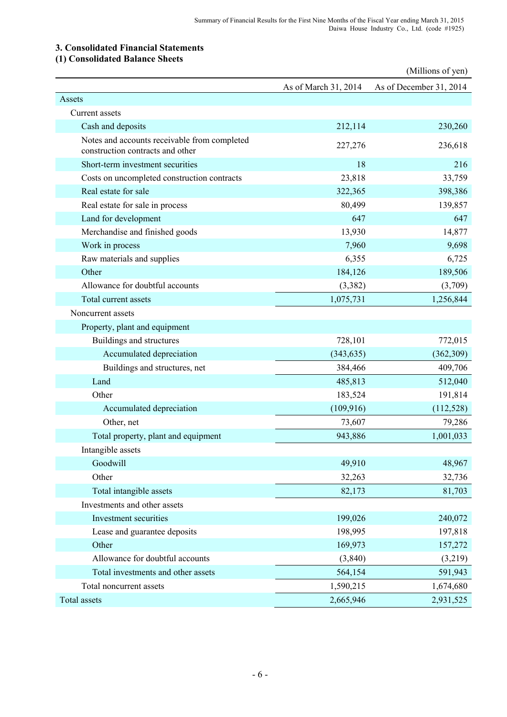### **3. Consolidated Financial Statements**

### **(1) Consolidated Balance Sheets**

|                                                                                  |                      | (Millions of yen)       |
|----------------------------------------------------------------------------------|----------------------|-------------------------|
|                                                                                  | As of March 31, 2014 | As of December 31, 2014 |
| Assets                                                                           |                      |                         |
| Current assets                                                                   |                      |                         |
| Cash and deposits                                                                | 212,114              | 230,260                 |
| Notes and accounts receivable from completed<br>construction contracts and other | 227,276              | 236,618                 |
| Short-term investment securities                                                 | 18                   | 216                     |
| Costs on uncompleted construction contracts                                      | 23,818               | 33,759                  |
| Real estate for sale                                                             | 322,365              | 398,386                 |
| Real estate for sale in process                                                  | 80,499               | 139,857                 |
| Land for development                                                             | 647                  | 647                     |
| Merchandise and finished goods                                                   | 13,930               | 14,877                  |
| Work in process                                                                  | 7,960                | 9,698                   |
| Raw materials and supplies                                                       | 6,355                | 6,725                   |
| Other                                                                            | 184,126              | 189,506                 |
| Allowance for doubtful accounts                                                  | (3,382)              | (3,709)                 |
| Total current assets                                                             | 1,075,731            | 1,256,844               |
| Noncurrent assets                                                                |                      |                         |
| Property, plant and equipment                                                    |                      |                         |
| Buildings and structures                                                         | 728,101              | 772,015                 |
| Accumulated depreciation                                                         | (343, 635)           | (362, 309)              |
| Buildings and structures, net                                                    | 384,466              | 409,706                 |
| Land                                                                             | 485,813              | 512,040                 |
| Other                                                                            | 183,524              | 191,814                 |
| Accumulated depreciation                                                         | (109, 916)           | (112, 528)              |
| Other, net                                                                       | 73,607               | 79,286                  |
| Total property, plant and equipment                                              | 943,886              | 1,001,033               |
| Intangible assets                                                                |                      |                         |
| Goodwill                                                                         | 49,910               | 48,967                  |
| Other                                                                            | 32,263               | 32,736                  |
| Total intangible assets                                                          | 82,173               | 81,703                  |
| Investments and other assets                                                     |                      |                         |
| Investment securities                                                            | 199,026              | 240,072                 |
| Lease and guarantee deposits                                                     | 198,995              | 197,818                 |
| Other                                                                            | 169,973              | 157,272                 |
| Allowance for doubtful accounts                                                  | (3,840)              | (3,219)                 |
| Total investments and other assets                                               | 564,154              | 591,943                 |
| Total noncurrent assets                                                          | 1,590,215            | 1,674,680               |
| Total assets                                                                     | 2,665,946            | 2,931,525               |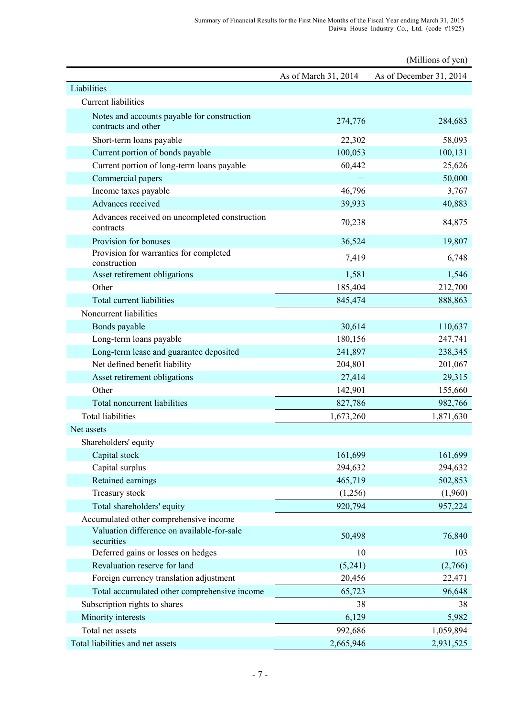|                                                                    |                      | (Millions of yen)       |
|--------------------------------------------------------------------|----------------------|-------------------------|
|                                                                    | As of March 31, 2014 | As of December 31, 2014 |
| Liabilities                                                        |                      |                         |
| <b>Current liabilities</b>                                         |                      |                         |
| Notes and accounts payable for construction<br>contracts and other | 274,776              | 284,683                 |
| Short-term loans payable                                           | 22,302               | 58,093                  |
| Current portion of bonds payable                                   | 100,053              | 100,131                 |
| Current portion of long-term loans payable                         | 60,442               | 25,626                  |
| Commercial papers                                                  |                      | 50,000                  |
| Income taxes payable                                               | 46,796               | 3,767                   |
| Advances received                                                  | 39,933               | 40,883                  |
| Advances received on uncompleted construction<br>contracts         | 70,238               | 84,875                  |
| Provision for bonuses                                              | 36,524               | 19,807                  |
| Provision for warranties for completed<br>construction             | 7,419                | 6,748                   |
| Asset retirement obligations                                       | 1,581                | 1,546                   |
| Other                                                              | 185,404              | 212,700                 |
| Total current liabilities                                          | 845,474              | 888,863                 |
| Noncurrent liabilities                                             |                      |                         |
| Bonds payable                                                      | 30,614               | 110,637                 |
| Long-term loans payable                                            | 180,156              | 247,741                 |
| Long-term lease and guarantee deposited                            | 241,897              | 238,345                 |
| Net defined benefit liability                                      | 204,801              | 201,067                 |
| Asset retirement obligations                                       | 27,414               | 29,315                  |
| Other                                                              | 142,901              | 155,660                 |
| Total noncurrent liabilities                                       | 827,786              | 982,766                 |
| <b>Total liabilities</b>                                           | 1,673,260            | 1,871,630               |
| Net assets                                                         |                      |                         |
| Shareholders' equity                                               |                      |                         |
| Capital stock                                                      | 161,699              | 161,699                 |
| Capital surplus                                                    | 294,632              | 294,632                 |
| Retained earnings                                                  | 465,719              | 502,853                 |
| Treasury stock                                                     | (1,256)              | (1,960)                 |
| Total shareholders' equity                                         | 920,794              | 957,224                 |
| Accumulated other comprehensive income                             |                      |                         |
| Valuation difference on available-for-sale<br>securities           | 50,498               | 76,840                  |
| Deferred gains or losses on hedges                                 | 10                   | 103                     |
| Revaluation reserve for land                                       | (5,241)              | (2,766)                 |
| Foreign currency translation adjustment                            | 20,456               | 22,471                  |
| Total accumulated other comprehensive income                       | 65,723               | 96,648                  |
| Subscription rights to shares                                      | 38                   | 38                      |
| Minority interests                                                 | 6,129                | 5,982                   |
| Total net assets                                                   | 992,686              | 1,059,894               |
| Total liabilities and net assets                                   | 2,665,946            | 2,931,525               |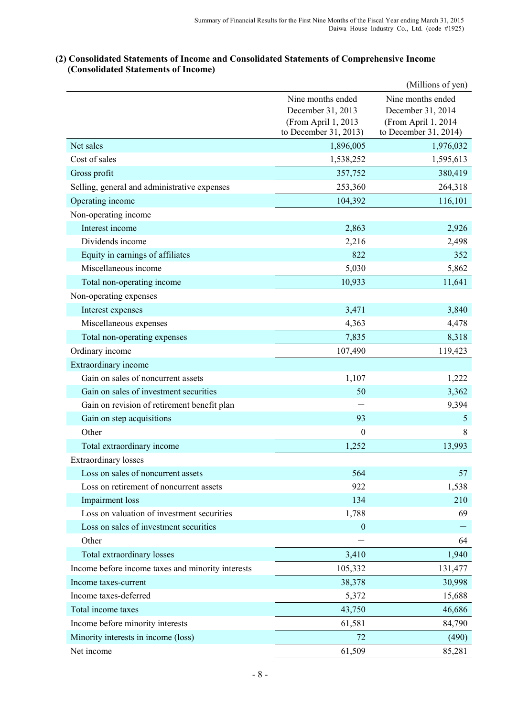# (Millions of yen) Nine months ended Nine months ended December 31, 2013 December 31, 2014 (From April 1, 2013 (From April 1, 2014 to December 31, 2013) to December 31, 2014) Net sales 1,976,032 1,976,032 Cost of sales 1,538,252 1,595,613 Gross profit 357,752 380,419 Selling, general and administrative expenses 253,360 264,318 Operating income 104,392 116,101 Non-operating income Interest income 2,863 2,926 Dividends income 2,216 2,498 Equity in earnings of affiliates 822 352 Miscellaneous income 5,862 Total non-operating income 10,933 11,641 Non-operating expenses Interest expenses 3,840 3,840 Miscellaneous expenses and the set of the set of the 4,363 4,478 4,478 Total non-operating expenses 8,318 Ordinary income 107,490 119,423 Extraordinary income Gain on sales of noncurrent assets 1,107 1,222 Gain on sales of investment securities 50 50 3,362 Gain on revision of retirement benefit plan here we are the set of the set of the set of the 9,394 Gain on step acquisitions 93 5 Other 8 8 Total extraordinary income 1,252 13,993 Extraordinary losses Loss on sales of noncurrent assets 564 57 Loss on retirement of noncurrent assets 822 1,538 Impairment loss 210 Loss on valuation of investment securities 1,788 69 Loss on sales of investment securities  $\overline{0}$ Other  $-$  64 Total extraordinary losses 3,410 1,940 Income before income taxes and minority interests 105,332 131,477 Income taxes-current 38,378 30,998 Income taxes-deferred 5,372 15,688 Total income taxes 43,750 46,686 Income before minority interests 61,581 84,790 Minority interests in income (loss) 72 (490) Net income 85,281

### **(2) Consolidated Statements of Income and Consolidated Statements of Comprehensive Income (Consolidated Statements of Income)**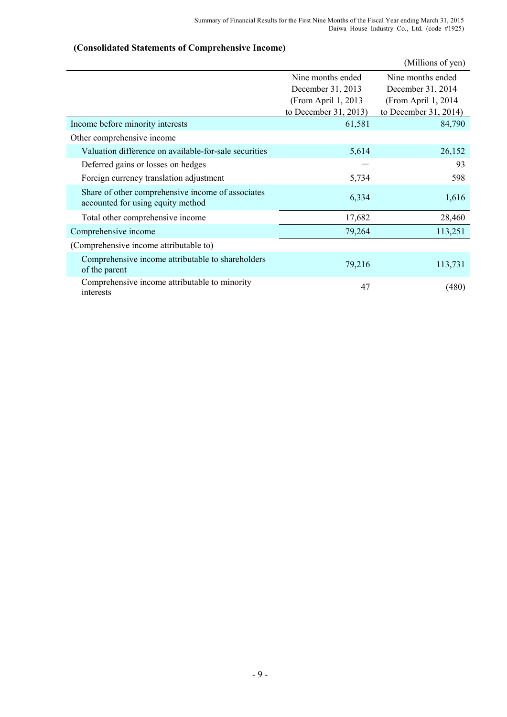# (Millions of yen) Nine months ended Nine months ended December 31, 2013 December 31, 2014 (From April 1, 2013 (From April 1, 2014 to December 31, 2013) to December 31, 2014) Income before minority interests 61,581 84,790 Other comprehensive income Valuation difference on available-for-sale securities 5,614 526,152 Deferred gains or losses on hedges - 93 Foreign currency translation adjustment 5,734 598 Share of other comprehensive income of associates accounted for using equity method 6,334 1,616 Total other comprehensive income 17,682 28,460 Comprehensive income 79,264 113,251 (Comprehensive income attributable to) Comprehensive income attributable to shareholders <br>
of the parent 113,731 Comprehensive income attributable to minority comprehensive media automatic to minority and the 47 (480)

### **(Consolidated Statements of Comprehensive Income)**